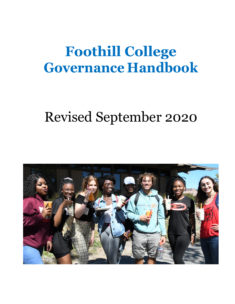# **Foothill College Governance Handbook**

# Revised September 2020

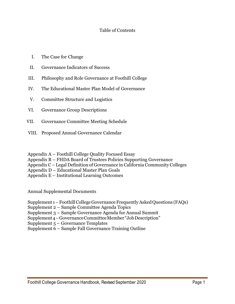# Table of Contents

- I. The Case for Change
- II. Governance Indicators of Success
- III. Philosophy and Role Governance at Foothill College
- IV. The Educational Master Plan Model of Governance
- V. Committee Structure and Logistics
- VI. Governance Group Descriptions
- VII. Governance Committee Meeting Schedule
- VIII. Proposed Annual Governance Calendar

Appendix A – Foothill College Quality Focused Essay

Appendix B – FHDA Board of Trustees Policies Supporting Governance

Appendix C – Legal Definition of Governance inCalifornia Community Colleges

Appendix D – Educational Master Plan Goals

Appendix E – Institutional Learning Outcomes

Annual Supplemental Documents

Supplement 1 – Foothill College Governance Frequently Asked Questions (FAQs)

Supplement 2 – Sample Committee Agenda Topics

Supplement 3 – Sample Governance Agenda for Annual Summit

Supplement4–GovernanceCommitteeMember "JobDescription"

Supplement 5 – Governance Templates

Supplement 6 – Sample Fall Governance Training Outline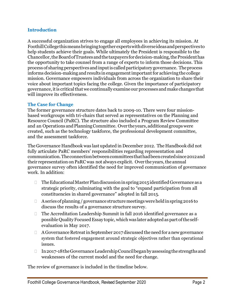#### **Introduction**

A successful organization strives to engage all employees in achieving its mission. At FoothillCollegethismeansbringingtogetherexpertswithdiverseideasandperspectivesto help students achieve their goals. While ultimately the President is responsible to the Chancellor,theBoardofTrusteesandthetaxpayers fordecision-making,thePresidenthas the opportunity to take counsel from a range of experts to inform those decisions. This process of sharing perspectives and input is called participatory governance. The process informs decision-making and results in engagement important for achieving the college mission. Governance empowers individuals from across the organization to share their voice about important topics facing the college. Given the importance of participatory governance,itis criticalthatwe continually examineour processes and make changes that will improve its effectiveness.

# **The Case for Change**

The former governance structure dates back to 2009-10. There were four missionbased workgroups with tri-chairs that served as representatives on the Planning and Resource Council (PaRC). The structure also included a Program Review Committee and an Operations and Planning Committee. Over the years, additional groups were created, such as the technology taskforce, the professional development committee, and the assessment taskforce.

The Governance Handbook was last updated in December 2012. The Handbook did not fully articulate PaRC members' responsibilities regarding representation and communication.Theconnectionbetweencommitteesthathadbeencreatedsince2012and their representation on PaRC was not always explicit. Over the years, the annual governance survey often identified the need for improved communication of governance work. In addition:

- $\Box$  The Educational Master Plan discussion in spring 2015 identified Governance as a strategic priority, culminating with the goal to "expand participation from all constituencies in shared governance" adopted in fall 2015.
- $\Box$  Aseries of planning/governance structure meetings were held in spring 2016 to discuss the results of a governance structure survey.
- □ The Accreditation Leadership Summit in fall 2016 identified governance as a possibleQualityFocusedEssay topic, which was later adoptedas part ofthe selfevaluation in May 2017.
- $\Box$  A Governance Retreat in September 2017 discussed the need for a new governance system that fostered engagement around strategic objectives rather than operational issues.
- In2017-18theGovernanceLeadershipCouncilbeganbyassessingthestrengthsand weaknesses of the current model and the need for change.

The review of governance is included in the timeline below.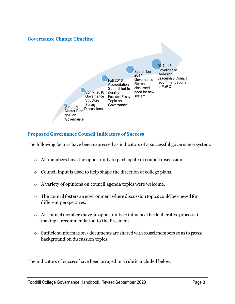# **Governance Change Timeline**



# **Proposed Governance Council Indicators of Success**

The following factors have been expressed as indicators of a successful governance system:

- o All members have the opportunity to participate in council discussion.
- o Council input is used to help shape the direction of college plans.
- o A variety of opinions on council agenda topics were welcome.
- $\circ$  The council fosters an environment where discussion topics could be viewed from different perspectives.
- $\circ$  All council members have an opportunity to influence the deliberative process of making a recommendation to the President.
- $\circ$  Sufficient information / documents are shared with councilmembers so as to provide background on discussion topics.

The indicators of success have been arrayed in a rubric included below.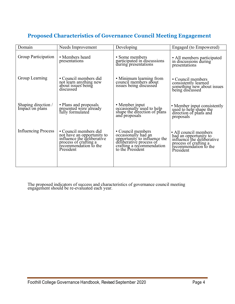# **Proposed Characteristics of Governance Council Meeting Engagement**

| Domain                                 | Needs Improvement                                                                                                                                | Developing                                                                                                                                           | Engaged (to Empowered)                                                                                                                      |
|----------------------------------------|--------------------------------------------------------------------------------------------------------------------------------------------------|------------------------------------------------------------------------------------------------------------------------------------------------------|---------------------------------------------------------------------------------------------------------------------------------------------|
| Group Participation                    | • Members heard<br>presentations                                                                                                                 | • Some members<br>participated in discussions<br>during presentations                                                                                | • All members participated<br>in discussions during<br>presentations                                                                        |
| Group Learning                         | • Council members did<br>not learn anything new<br>about issues being<br>discussed                                                               | • Minimum learning from<br>council members about<br>issues being discussed                                                                           | • Council members<br>consistently learned<br>something new about issues<br>being discussed                                                  |
| Shaping direction /<br>Impact on plans | • Plans and proposals<br>presented were already<br>fully formulated                                                                              | • Member input<br>occasionally used to help<br>shape the direction of plans<br>and proposals                                                         | • Member input consistently<br>used to help shape the<br>direction of plans and<br>proposals                                                |
| <b>Influencing Process</b>             | • Council members did<br>not have an opportunity to<br>influence the deliberative<br>process of crafting a<br>recommendation to the<br>President | • Council members<br>occasionally had an<br>opportunity to influence the<br>deliberative process of<br>crafting a recommendation<br>to the President | • All council members<br>had an opportunity to<br>influence the deliberative<br>process of crafting a<br>recommendation to the<br>President |

The proposed indicators of success and characteristics of governance council meeting engagement should be re-evaluated each year.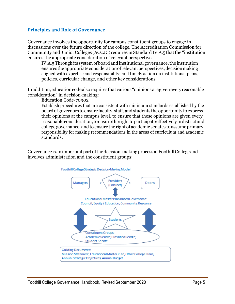# **Principles and Role of Governance**

Governance involves the opportunity for campus constituent groups to engage in discussions over the future direction of the college. The Accreditation Commission for Community and Junior Colleges (ACCJC) requires in Standard IV.A.5 that the "institution ensures the appropriate consideration of relevant perspectives":

IV.A.5 Through its system of board and institutional governance, the institution ensurestheappropriateconsiderationofrelevantperspectives;decisionmaking aligned with expertise and responsibility; and timely action on institutional plans, policies, curricular change, and other key considerations.

Inaddition,educationcodealsorequiresthatvarious "opinions aregiveneveryreasonable consideration" in decision-making:

Education Code-70902

Establish procedures that are consistent with minimum standards established by the boardof governors to ensure faculty, staff, andstudents the opportunity to express their opinions at the campus level, to ensure that these opinions are given every reasonableconsideration,toensuretherighttoparticipateeffectivelyindistrictand college governance, and to ensure the right of academic senates to assume primary responsibility for making recommendations in the areas of curriculum and academic standards.

Governance is an important part of the decision-making process at Foothill College and involves administration and the constituent groups:

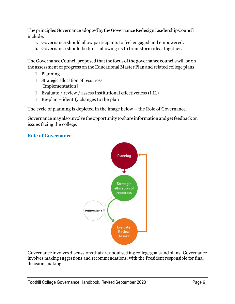The principles Governance adopted by the Governance Redesign Leadership Council include:

- a. Governance should allow participants to feel engaged and empowered.
- b. Governance should be fun allowing us to brainstorm ideas together.

The Governance Council proposed that the focus of the governance councils will be on the assessment of progress on the Educational Master Plan and related college plans:

- Planning
- □ Strategic allocation of resources [Implementation]
- Evaluate / review / assess institutional effectiveness  $(I.E.)$
- $\Box$  Re-plan identify changes to the plan

The cycle of planning is depicted in the image below – the Role of Governance.

Governance may also involve the opportunity to share information and get feedback on issues facing the college.

# **Role of Governance**



Governance involvesdiscussions that areabout settingcollegegoals andplans. Governance involves making suggestions and recommendations, with the President responsible for final decision-making.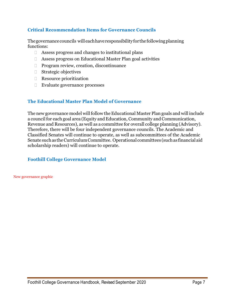# **Critical Recommendation Items for Governance Councils**

Thegovernancecouncils will eachhaveresponsibilityforthefollowingplanning functions:

- Assess progress and changes to institutional plans
- Assess progress on Educational Master Plan goal activities
- □ Program review, creation, discontinuance
- Strategic objectives
- Resource prioritization
- Evaluate governance processes

# **The Educational Master Plan Model of Governance**

The new governance model will follow the Educational Master Plan goals and will include a council for each goal area (Equity and Education, Community and Communication, Revenue and Resources), as well as a committee for overall college planning (Advisory). Therefore, there will be four independent governance councils. The Academic and Classified Senates will continue to operate, as well as subcommittees of the Academic Senate suchas theCurriculumCommittee. Operational committees (suchas financial aid scholarship readers) will continue to operate.

# **Foothill College Governance Model**

New governance graphic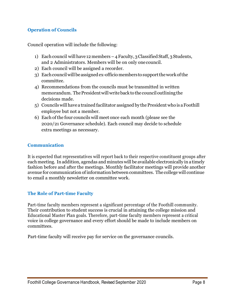# **Operation of Councils**

Council operation will include the following:

- 1) Each council will have 12 members 4 Faculty, 3 Classified Staff, 3 Students, and 2 Administrators. Members will be on only onecouncil.
- 2) Each council will be assigned a recorder.
- 3) Each council will be assigned ex-officio members to support the work of the committee.
- 4) Recommendations from the councils must be transmitted in written memorandum. The President will write back to the council outlining the decisions made.
- 5) Councils will have a trained facilitator assigned by the President who is a Foothill employee but not a member.
- 6) Each ofthe four councils will meet once each month (please see the 2020/21 Governance schedule). Each council may decide to schedule extra meetings as necessary.

# **Communication**

It is expected that representatives will report back to their respective constituent groups after each meeting. Inaddition, agendas and minuteswill be available electronically in atimely fashion before and after the meetings. Monthly facilitator meetings will provide another avenue for communication of information between committees. The college will continue to email a monthly newsletter on committee work.

# **The Role of Part-time Faculty**

Part-time faculty members represent a significant percentage of the Foothill community. Their contribution to student success is crucial in attaining the college mission and Educational Master Plan goals. Therefore, part-time faculty members represent a critical voice in college governance and every effort should be made to include members on committees.

Part-time faculty will receive pay for service on the governance councils.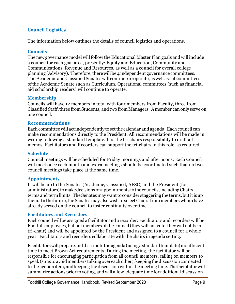# **Council Logistics**

The information below outlines the details of council logistics and operations.

#### **Councils**

The new governance model will follow the Educational Master Plan goals and will include a council for each goal area, presently: Equity and Education, Community and Communications, Revenue and Resources, as well as a council for overall college planning (Advisory). Therefore, there will be 4 independent governance committees. The Academic and Classified Senates will continue to operate, as well as subcommittees ofthe Academic Senate such as Curriculum. Operational committees (such as financial aid scholarship readers) will continue to operate.

#### **Membership**

Councils will have 12 members in total with four members from Faculty, three from Classified Staff, three from Students, and two from Managers. A member can only serve on one council.

#### **Recommendations**

Each committee will actindependently tosetthe calendar and agenda. Each council can make recommendations directly to the President. All recommendations will be made in writing following a standard template. It is the tri-chairs responsibility to draft all memos. Facilitators and Recorders can support the tri-chairs in this role, as required.

#### **Schedule**

Council meetings will be scheduled for Friday mornings and afternoons. Each Council will meet once each month and extra meetings should be coordinated such that no two council meetings take place at the same time.

#### **Appointments**

It will be up to the Senates (Academic, Classified, AFSC) and the President (for administrators)tomakedecisions onappointments tothe councils,includingChairs, terms and term limits. The Senates may want to consider staggering the terms, but it is up them. In the future, the Senates may also wish to select Chairs from members whom have already served on the council to foster continuity over time.

# **Facilitators and Recorders**

Each council will be assigned a facilitator and a recorder. Facilitators and recorders will be Foothill employees, but not members of the council (they will not vote, they will not be a tri-chair) and will be appointed by the President and assigned to a council for a whole year. Facilitators and recorders collaborate with the chairs in agenda setting.

Facilitatorswillprepareanddistributetheagenda(usingastandardtemplate)insufficient time to meet Brown Act requirements. During the meeting, the facilitator will be responsible for encouraging participation from all council members, calling on members to speak (so as to avoid members talking over each other), keeping the discussion connected to the agenda item, and keeping the discussion within the meeting time. The facilitator will summarize actions prior to voting, and will allowadequate time for additional discussion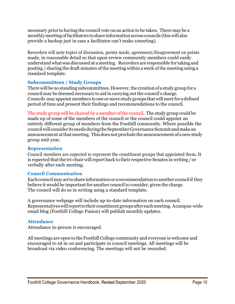necessary prior to having the council vote on an action to be taken. There may be a monthlymeetingoffacilitators toshare information across councils (thiswill also provide a backup just in case a facilitator can't make ameeting).

Recorders will note topics of discussion, points made, agreement/disagreement on points made, in reasonable detail so that upon review community members could easily understand whatwas discussed at ameeting. Recorders are responsible for taking and posting / sharing the draft minutes of the meeting within a week of the meeting using a standard template.

# **Subcommittees / Study Groups**

There will be no standing subcommittees. However, the creation of a study group for a council may bedeemed necessary to aid in carrying out the council's charge. Councils may appoint members to one or more study groups that will meet for a defined period of time and present their findings and recommendations to the council.

The study group will be chaired by a member ofthe council. The study group could be made up of some of the members of the council or the council could appoint an entirely different group of members from the Foothill community. Where possible the councilwillconsider itsneedsduringtheSeptemberGovernanceSummitandmakean announcement at that meeting. This does not preclude the announcement of a new study group mid-year.

# **Representation**

Council members are expected to represent the constituent groups that appointed them. It is expected that the tri-chair will report back to their respective Senates in writing / or verbally after each meeting.

# **Council Communication**

Each council may act to share information or a recommendation to another council if they believe it would be important for another council to consider, given the charge. The council will do so in writing using a standard template.

A governance webpage will include up-to-date information on each council. Representativeswillreporttotheirconstituentgroupsaftereachmeeting. Acampus-wide email blog (Foothill College Fusion) will publish monthly updates.

# **Attendance**

Attendance in-person is encouraged.

All meetings are open to the Foothill College community and everyone is welcome and encouraged to sit in on and participate in council meetings. All meetings will be broadcast via video conferencing. The meetings will not be recorded.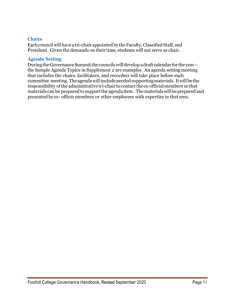# **Chairs**

Each council will have a tri-chair appointed by the Faculty, Classified Staff, and President. Given the demands on their time, students will not serve as chair.

# **Agenda Setting**

During the Governance Summit the councils will develop a draft calendar for the yearthe Sample Agenda Topics in Supplement 2 are examples. An agenda setting meeting that includes the chairs, facilitators, and recorders will take place before each committee meeting. Theagendawillincludeneededsupportingmaterials. Itwillbethe responsibility of the administrative tri-chair to contact the ex-official members so that materials can be prepared to support the agenda item. The materials will be prepared and presented by ex- officio members or other employees with expertise in that area.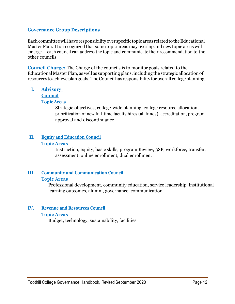#### **Governance Group Descriptions**

Each committee will have responsibility over specific topic areas related to the Educational Master Plan. It is recognized that some topic areas may overlap and new topic areas will emerge -- each council can address the topic and communicate their recommendation to the other councils.

**Council Charge:** The Charge of the councils is to monitor goals related to the Educational Master Plan, as well as supportingplans, including the strategic allocationof resources toachieve plangoals. TheCouncilhasresponsibility for overall college planning.

# **I. Advisory**

# **Council**

#### **Topic Areas**

Strategic objectives, college-wide planning, college resource allocation, prioritization of new full-time faculty hires (all funds), accreditation, program approval and discontinuance

# **II. Equity and Education Council Topic Areas**

Instruction, equity, basic skills, program Review, 3SP, workforce, transfer, assessment, online enrollment, dual enrollment

# **III. Community and Communication Council**

#### **Topic Areas**

Professional development, community education, service leadership, institutional learning outcomes, alumni, governance, communication

# **IV. Revenue and Resources Council**

# **Topic Areas**

Budget, technology, sustainability, facilities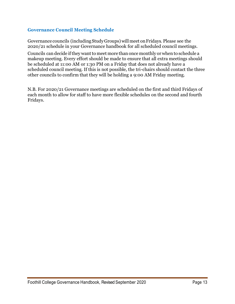# **Governance Council Meeting Schedule**

Governance councils (includingStudyGroups) willmeet onFridays. Please see the 2020/21 schedule in your Governance handbook for all scheduled council meetings.

Councils can decide if they want to meet more than once monthly or when to schedule a makeup meeting. Every effort should be made to ensure that all extra meetings should be scheduled at 11:00 AM or 1:30 PM on a Friday that does not already have a scheduled council meeting. If this is not possible, the tri-chairs should contact the three other councils to confirm that they will be holding a 9:00 AM Friday meeting.

N.B. For 2020/21 Governance meetings are scheduled on the first and third Fridays of each month to allow for staff to have more flexible schedules on the second and fourth Fridays.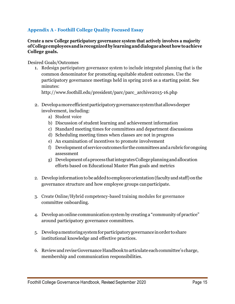# **Appendix A - Foothill College Quality Focused Essay**

**Create a new College participatory governance system that actively involves a majority ofCollegeemployeesandis recognizedbylearninganddialogueabouthowtoachieve College goals.**

Desired Goals/Outcomes

1. Redesign participatory governance system to include integrated planning that is the common denominator for promoting equitable student outcomes. Use the participatory governance meetings held in spring 2016 as a starting point. See minutes:

[http://www.foothill.edu/president/parc/parc\\_archive2015-16.php](http://www.foothill.edu/president/parc/parc_archive2015-16.php)

- 2. Developa more efficient participatory governance system that allows deeper involvement, including:
	- a) Student voice
	- b) Discussion of student learning and achievement information
	- c) Standard meeting times for committees and department discussions
	- d) Scheduling meeting times when classes are not in progress
	- e) An examination of incentives to promote involvement
	- f) Development of serviceoutcomes for the committees andarubricforongoing assessment
	- g) Developmentofaprocess thatintegratesCollegeplanningandallocation efforts based on Educational Master Plan goals and metrics
- 2. Developinformationtobeaddedtoemployeeorientation(facultyandstaff)onthe governance structure and how employee groups canparticipate.
- 3. Create Online/Hybrid competency-based training modules for governance committee onboarding.
- 4. Develop anonline communication systemby creating a "community of practice" around participatory governance committees.
- 5. Developamentoringsystemforparticipatorygovernanceinorder toshare institutional knowledge and effective practices.
- 6. Review and revise Governance Handbook to articulate each committee's charge, membership and communication responsibilities.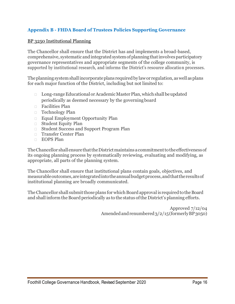# **Appendix B - FHDA Board of Trustees Policies Supporting Governance**

#### BP 3250 Institutional Planning

The Chancellor shall ensure that the District has and implements a broad-based, comprehensive, systematic and integrated system of planning that involves participatory governance representatives and appropriate segments of the college community, is supported by institutional research, and informs the District's resource allocation processes.

The planning system shall incorporate plans required by law or regulation, as well as plans for each major function of the District, including but not limited to:

- □ Long-range Educational or Academic Master Plan, which shall be updated periodically as deemed necessary by the governingboard
- Facilities Plan
- Technology Plan
- Equal Employment Opportunity Plan
- **Student Equity Plan**
- Student Success and Support Program Plan
- □ Transfer Center Plan
- **EOPS** Plan

The Chancellor shall ensure that the District maintains a commitment to the effectiveness of its ongoing planning process by systematically reviewing, evaluating and modifying, as appropriate, all parts of the planning system.

The Chancellor shall ensure that institutional plans contain goals, objectives, and measurable outcomes, are integrated into the annual budget process, and that the results of institutional planning are broadly communicated.

The Chancellor shall submit those plans for which Board approval is required to the Board and shall inform the Board periodically as to the status of the District's planning efforts.

> Approved 7/12/04 Amended and renumbered  $3/2/15$  (formerly BP3050)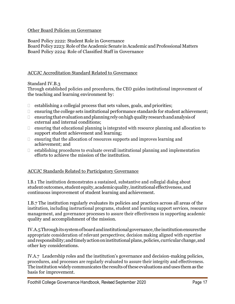# Other Board Policies on Governance

Board Policy 2222: Student Role in Governance

Board Policy 2223: Role oftheAcademic Senate inAcademic and Professional Matters Board Policy 2224: Role of Classified Staff in Governance

# ACCJC Accreditation Standard Related to Governance

Standard IV.B.3

Through established policies and procedures, the CEO guides institutional improvement of the teaching and learning environment by:

- $\Box$  establishing a collegial process that sets values, goals, and priorities;
- $\Box$  ensuring the college sets institutional performance standards for student achievement;
- $\Box$  ensuring that evaluation and planning rely on high quality research and analysis of external and internal conditions;
- $\Box$  ensuring that educational planning is integrated with resource planning and allocation to support student achievement and learning;
- $\Box$  ensuring that the allocation of resources supports and improves learning and achievement; and
- $\Box$  establishing procedures to evaluate overall institutional planning and implementation efforts to achieve the mission of the institution.

# ACCJC Standards Related to Participatory Governance

I.B.1 The institution demonstrates a sustained, substantive and collegial dialog about studentoutcomes,studentequity,academicquality,institutionaleffectiveness,and continuous improvement of student learning and achievement.

I.B.7 The institution regularly evaluates its policies and practices across all areas of the institution, including instructional programs, student and learning support services, resource management, and governance processes to assure their effectiveness in supporting academic quality and accomplishment of the mission.

IV.A.5Throughits systemofboardandinstitutionalgovernance,theinstitutionensuresthe appropriate consideration of relevant perspectives; decision making aligned with expertise and responsibility; and timely action on institutional plans, policies, curricular change, and other key considerations.

IV.A.7 Leadership roles and the institution's governance and decision-making policies, procedures, and processes are regularly evaluated to assure their integrity and effectiveness. The institution widely communicates the results of these evaluations and uses them as the basis for improvement.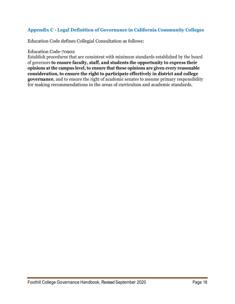# **Appendix C - Legal Definition of Governance in California Community Colleges**

Education Code defines Collegial Consultation as follows:

#### Education Code-70902

Establish procedures that are consistent with minimum standards established by the board of governors **to ensure faculty, staff, and students the opportunity to express their opinions at the campus level, to ensure that these opinions are given every reasonable consideration, to ensure the right to participate effectively in district and college governance**, and to ensure the right of academic senates to assume primary responsibility for making recommendations in the areas of curriculum and academic standards.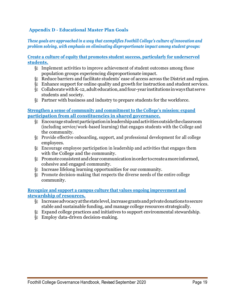# **Appendix D - Educational Master Plan Goals**

*These goals are approached in a way that exemplifies Foothill College's culture of innovation and problem solving, with emphasis on eliminating disproportionate impact among student groups:*

**Create a culture of equity that promotes student success, particularly for underserved students.**

- § Implement activities to improve achievement of student outcomes among those population groups experiencing disproportionate impact.
- § Reduce barriers and facilitate students' ease of access across the District and region.
- § Enhance support for online quality and growth for instruction and student services.
- § CollaboratewithK-12, adult education,andfour-year institutions inways that serve students and society.
- § Partner with business and industry to prepare students for the workforce.

#### **Strengthen a sense of community and commitment to the College's mission; expand participation from all constituencies in shared governance.**

- § Encouragestudentparticipationinleadershipandactivitiesoutsidetheclassroom (including service/work-based learning) that engages students with the College and the community.
- § Provide effective onboarding, support, and professional development for all college employees.
- § Encourage employee participation in leadership and activities that engages them with the College and the community.
- § Promoteconsistentandclearcommunicationinorder tocreateamoreinformed, cohesive and engaged community.
- § Increase lifelong learning opportunities for our community.
- § Promote decision-making that respects the diverse needs of the entire college community.

#### **Recognize and support a campus culture that values ongoing improvement and stewardship of resources.**

- § Increaseadvocacyatthestatelevel,increasegrantsandprivatedonationstosecure stable and sustainable funding, and manage college resources strategically.
- § Expand college practices and initiatives to support environmental stewardship.
- § Employ data-driven decision-making.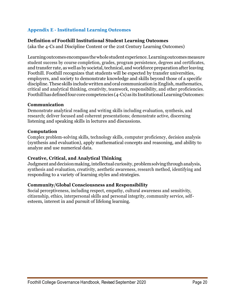# **Appendix E - Institutional Learning Outcomes**

#### **Definition of Foothill Institutional Student Learning Outcomes**

(aka the 4-Cs and Discipline Content or the 21st Century Learning Outcomes)

Learning outcomes encompass the whole student experience. Learning outcomes measure student success by course completion, grades, program persistence, degrees and certificates, and transfer rate, as well as by societal, technical, and workforce preparation after leaving Foothill. Foothill recognizes that students will be expected by transfer universities, employers, and society to demonstrate knowledge and skills beyond those of a specific discipline.These skills includewrittenandoral communication inEnglish, mathematics, critical and analytical thinking, creativity, teamwork, responsibility, and other proficiencies. Foothill has defined four core competencies (4-Cs) as its Institutional Learning Outcomes:

#### **Communication**

Demonstrate analytical reading and writing skills including evaluation, synthesis, and research; deliver focused and coherent presentations; demonstrate active, discerning listening and speaking skills in lectures and discussions.

#### **Computation**

Complex problem-solving skills, technology skills, computer proficiency, decision analysis (synthesis and evaluation), apply mathematical concepts and reasoning, and ability to analyze and use numerical data.

# **Creative, Critical, and Analytical Thinking**

Judgment and decision making, intellectual curiosity, problem solving through analysis, synthesis and evaluation, creativity, aesthetic awareness, research method, identifying and responding to a variety of learning styles and strategies.

#### **Community/Global Consciousness and Responsibility**

Social perceptiveness, including respect, empathy, cultural awareness and sensitivity, citizenship, ethics, interpersonal skills and personal integrity, community service, selfesteem, interest in and pursuit of lifelong learning.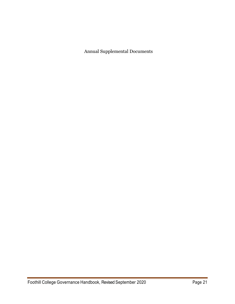Annual Supplemental Documents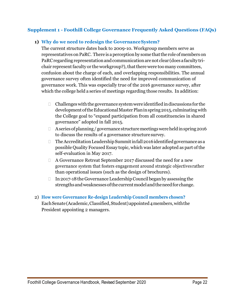# **Supplement 1 - Foothill College Governance Frequently Asked Questions (FAQs)**

# **1) Why do we need to redesign the GovernanceSystem?**

The current structure dates back to 2009-10. Workgroup members serve as representatives on PaRC. There is a perception by some that the role of members on PaRC regarding representation and communication are not clear (does a faculty trichair represent faculty or the workgroup?), that there were too many committees, confusion about the charge of each, and overlapping responsibilities. The annual governance survey often identified the need for improved communication of governance work. This was especially true of the 2016 governance survey, after which the college held a series of meetings regarding those results. In addition:

- $\Box$  Challenges with the governance system were identified in discussions for the development of the Educational Master Plan in spring 2015, culminating with the College goal to "expand participation from all constituencies in shared governance" adopted in fall 2015.
- $\Box$  Aseries of planning / governance structure meetings were held in spring 2016 to discuss the results of a governance structure survey.
- $\Box$  The Accreditation Leadership Summit in fall 2016 identified governance as a possible Quality Focused Essay topic, which was later adopted as part ofthe self-evaluation in May 2017.
- □ A Governance Retreat September 2017 discussed the need for a new governance system that fosters engagement around strategic objectives rather than operational issues (such as the design of brochures).
- $\Box$  In 2017-18 the Governance Leadership Council began by assessing the strengthsandweaknessesofthecurrentmodelandtheneedfor change.
- 2) **How were Governance Re-design Leadership Council members chosen?** Each Senate (Academic, Classified, Student) appointed 4 members, with the President appointing 2 managers.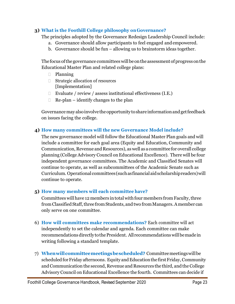# **3) What is the Foothill College philosophy on Governance?**

The principles adopted by the Governance Redesign Leadership Council include:

- a. Governance should allow participants to feel engaged andempowered.
- b. Governance should be fun allowing us to brainstorm ideas together.

The focus of the governance committees will be on the assessment of progress on the Educational Master Plan and related college plans:

- Planning
- □ Strategic allocation of resources [Implementation]
- Evaluate / review / assess institutional effectiveness (I.E.)
- $\Box$  Re-plan identify changes to the plan

Governance may also involve the opportunity to share information and get feedback on issues facing the college.

# **4) How many committees will the new Governance Model include?**

The new governance model will follow the Educational Master Plan goals and will include a committee for each goal area (Equity and Education, Community and Communication, Revenue and Resources), as well as a committee for overall college planning (College Advisory Council on Educational Excellence). There will be four independent governance committees. The Academic and Classified Senates will continue to operate, as well as subcommittees of the Academic Senate such as Curriculum. Operational committees(suchasfinancialaidscholarshipreaders)will continue to operate.

# **5) How many members will each committee have?**

Committees will have 12 members in total with four members from Faculty, three from Classified Staff, three from Students, and two from Managers. A member can only serve on one committee.

- 6) **How will committees make recommendations?** Each committee will act independently to set the calendar and agenda. Each committee can make recommendations directly to the President. All recommendations will be made in writing following a standard template.
- 7) **Whenwillcommitteemeetingsbescheduled?** Committeemeetingswillbe scheduled for Friday afternoons. Equity and Education the first Friday, Community and Communication the second, Revenue and Resources the third, and the College Advisory Council on Educational Excellence the fourth. Committees can decide if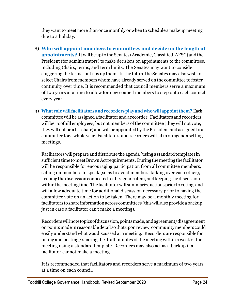they want to meet more than once monthly or when to schedule a makeup meeting due to a holiday.

- 8) **Who will appoint members to committees and decide on the length of appointments?** It will beuptothe Senates (Academic,Classified,AFSC) andthe President (for administrators) to make decisions on appointments to the committees, including Chairs, terms, and term limits. The Senates may want to consider staggering the terms, but it is up them. In the future the Senates may also wish to select Chairs from members whom have already served on the committee to foster continuity over time. It is recommended that council members serve a maximum of two years at a time to allow for new council members to step onto each council every year.
- 9) **What role willfacilitators and recordersplay and who will appointthem?** Each committee will be assigned a facilitator and arecorder. Facilitators and recorders will be Foothill employees, but not members of the committee (they will not vote, they will not be a tri-chair) and will be appointed by the President and assigned to a committee for a whole year. Facilitators and recorders will sit in on agenda setting meetings.

Facilitators will prepare and distribute the agenda (using a standard template) in sufficient time to meet Brown Act requirements. During the meeting the facilitator will be responsible for encouraging participation from all committee members, calling on members to speak (so as to avoid members talking over each other), keeping the discussion connected to the agenda item, and keeping the discussion within the meeting time. The facilitator will summarize actions prior to voting, and will allow adequate time for additional discussion necessary prior to having the committee vote on an action to be taken. There may be a monthly meeting for facilitators toshare informationacross committees (thiswillalsoprovideabackup just in case a facilitator can't make a meeting).

Recorderswillnotetopicsofdiscussion,pointsmade,andagreement/disagreement onpointsmade inreasonabledetail sothatuponreview, communitymemberscould easily understand what wasdiscussed at ameeting. Recorders are responsible for taking and posting / sharing the draft minutes ofthe meeting within a week of the meeting using a standard template. Recorders may also act as a backup if a facilitator cannot make a meeting.

It is recommended that facilitators and recorders serve a maximum of two years at a time on each council.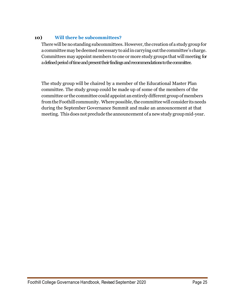# **10) Will there be subcommittees?**

There will be no standing subcommittees. However, the creation of a study group for a committee may be deemed necessary to aid in carrying out the committee's charge. Committees may appoint members to one or more study groups that will meeting for a defined period of time and present their findings and recommendations to the committee.

The study group will be chaired by a member of the Educational Master Plan committee. The study group could be made up of some of the members of the committee or the committee could appoint anentirelydifferent groupofmembers from the Foothill community. Where possible, the committee will consider its needs during the September Governance Summit and make an announcement at that meeting. This does not preclude the announcement of anewstudy groupmid-year.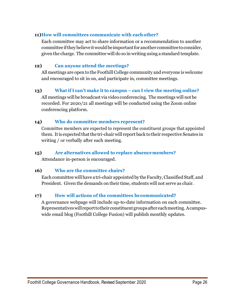# **11)How will committees communicate with eachother?**

Each committee may act to share information or a recommendation to another committee if they believe it would be important for another committee to consider, given the charge. The committee will do so in writing using a standard template.

# **12) Can anyone attend the meetings?**

All meetings are open to the Foothill College community and everyone is welcome and encouraged to sit in on, and participate in, committee meetings.

# **13) What if I can't make it to campus – can I view the meeting online?**

All meetings will be broadcast via video conferencing. The meetings will not be recorded. For 2020/21 all meetings will be conducted using the Zoom online conferencing platform.

# **14) Who do committee members represent?**

Committee members are expected to represent the constituent groups that appointed them. Itis expected thatthe tri-chair will report back totheir respective Senates in writing / or verbally after each meeting.

# **15) Are alternatives allowed to replace absencemembers?**

Attendance in-person is encouraged.

# **16) Who are the committee chairs?**

Each committee will have a tri-chair appointed by the Faculty, Classified Staff, and President. Given the demands on their time, students will not serve as chair.

# **17) How will actions of the committees becommunicated?**

A governance webpage will include up-to-date information on each committee. Representativeswillreporttotheir constituentgroupsaftereachmeeting. Acampuswide email blog (Foothill College Fusion) will publish monthly updates.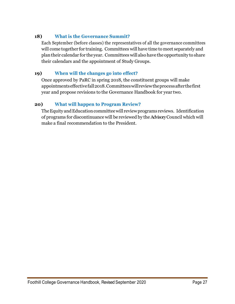# **18) What is the Governance Summit?**

Each September (before classes) the representatives of all the governance committees will come together for training. Committees will have time to meet separately and plantheir calendar for the year. Committees will also have the opportunity to share their calendars and the appointment of Study Groups.

# **19) When will the changes go into effect?**

Once approved by PaRC in spring 2018, the constituent groups will make appointmentseffectivefall2018.Committeeswillreviewtheprocessafterthefirst year and propose revisions to the Governance Handbook for year two.

# **20) What will happen to Program Review?**

The Equity and Education committee will review programs reviews. Identification of programs for discontinuance will be reviewed by theAdvisory Council which will make a final recommendation to the President.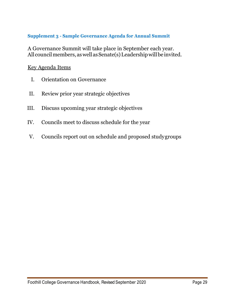# **Supplement 3 - Sample Governance Agenda for Annual Summit**

A Governance Summit will take place in September each year. All council members, as well as Senate(s) Leadership will be invited.

# Key Agenda Items

- I. Orientation on Governance
- II. Review prior year strategic objectives
- III. Discuss upcoming year strategic objectives
- IV. Councils meet to discuss schedule for the year
- V. Councils report out on schedule and proposed studygroups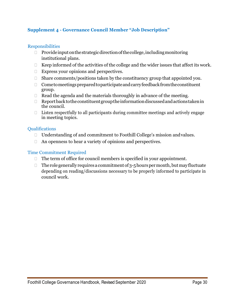# **Supplement 4 - Governance Council Member "Job Description"**

#### **Responsibilities**

- $\Box$  Provide input on the strategic direction of the college, including monitoring institutional plans.
- $\Box$  Keep informed of the activities of the college and the wider issues that affect its work.
- □ Express your opinions and perspectives.
- $\Box$  Share comments/positions taken by the constituency group that appointed you.
- $\Box$  Cometomeetings prepared to participate and carry feedback from the constituent group.
- $\Box$  Read the agenda and the materials thoroughly in advance of the meeting.
- $\Box$  Report back to the constituent group the information discussed and actions taken in the council.
- $\Box$  Listen respectfully to all participants during committee meetings and actively engage in meeting topics.

#### Qualifications

- □ Understanding of and commitment to Foothill College's mission and values.
- □ An openness to hear a variety of opinions and perspectives.

- $\Box$  The term of office for council members is specified in your appointment.
- $\Box$  The role generally requires a commitment of 3-5 hours per month, but may fluctuate depending on reading/discussions necessary to be properly informed to participate in council work.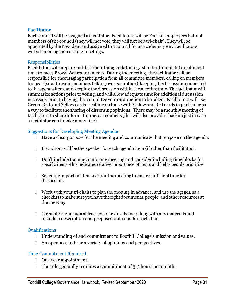#### **Facilitator**

Each council will be assigned a facilitator. Facilitators will be Foothill employees but not members of the council (they will not vote, they will not be a tri-chair). They will be appointed by thePresident and assigned toacouncil for anacademic year. Facilitators will sit in on agenda setting meetings.

#### **Responsibilities**

Facilitatorswillprepareanddistributetheagenda(usingastandardtemplate)insufficient time to meet Brown Act requirements. During the meeting, the facilitator will be responsible for encouraging participation from all committee members, calling on members to speak (so as to avoid members talking over each other), keeping the discussion connected tothe agenda item, and keeping the discussion withinthemeeting time.The facilitatorwill summarize actions prior to voting, and will allowadequate time for additional discussion necessary prior to having the committee vote onan action to be taken. Facilitators will use Green, Red, and Yellow cards – calling on thosewith Yellow and Red cards in particular as a way to facilitate the sharing of dissenting opinions. There may be a monthly meeting of facilitators to share information across councils (this will also provide a backup just in case a facilitator can't make a meeting).

# Suggestions for Developing Meeting Agendas

- $\Box$  Have a clear purpose for the meeting and communicate that purpose on the agenda.
- $\Box$  List whom will be the speaker for each agenda item (if other than facilitator).
- $\Box$  Don't include too much into one meeting and consider including time blocks for specific items -this indicates relative importance of items and helps people prioritize.
- $\Box$  Scheduleimportantitemsearly in the meeting to ensure sufficient time for discussion.
- $\Box$  Work with your tri-chairs to plan the meeting in advance, and use the agenda as a checklisttomake sure youhavetherightdocuments,people, andother resources at the meeting.
- $\Box$  Circulate the agenda at least 72 hours in advance along with any materials and include a description and proposed outcome for eachitem.

# Qualifications

- □ Understanding of and commitment to Foothill College's mission and values.
- □ An openness to hear a variety of opinions and perspectives.

- □ One year appointment.
- $\Box$  The role generally requires a commitment of 3-5 hours permonth.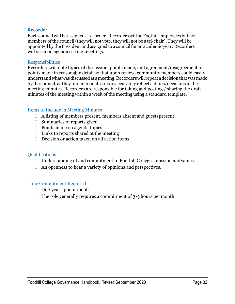#### **Recorder**

Each councilwill be assigned a recorder. Recorders willbeFoothill employees but not members of the council (they will not vote, they will not be a tri-chair). They will be appointed by the President and assigned to a council for an academic year. Recorders will sit in on agenda setting meetings.

#### **Responsibilities**

Recorders will note topics of discussion, points made, and agreement/disagreement on points made in reasonable detail so that upon review, community members could easily understandwhatwasdiscussedatameeting.Recorderswill repeat adecisionthatwasmade by the council, as they understood it, so as to accurately reflect actions/decisions inthe meeting minutes. Recorders are responsible for taking and posting / sharing the draft minutes of the meeting within a week of the meeting using a standard template.

#### Items to Include in Meeting Minutes

- $\Box$  A listing of members present, members absent and guests present
- $\Box$  Summaries of reports given
- $\Box$  Points made on agenda topics
- $\Box$  Links to reports shared at the meeting
- $\Box$  Decision or action taken on all action items

#### **Oualifications**

- □ Understanding of and commitment to Foothill College's mission and values.
- $\Box$  An openness to hear a variety of opinions and perspectives.

- One-year appointment.
- $\Box$  The role generally requires a commitment of 3-5 hours permonth.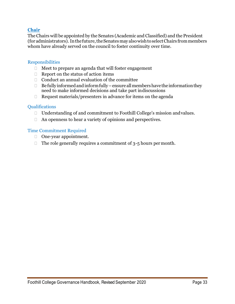# **Chair**

The Chairs will be appointed by the Senates (Academic and Classified) and the President (for administrators). Inthefuture,theSenatesmay alsowishtoselectChairs frommembers whom have already served on the council to foster continuity over time.

#### **Responsibilities**

- Meet to prepare an agenda that will foster engagement
- $\Box$  Report on the status of action items
- $\Box$  Conduct an annual evaluation of the committee
- $\Box$  Be fully informed and inform fully ensure all members have the information they need to make informed decisions and take part indiscussions
- $\Box$  Request materials/presenters in advance for items on the agenda

#### **Oualifications**

- □ Understanding of and commitment to Foothill College's mission and values.
- □ An openness to hear a variety of opinions and perspectives.

- □ One-year appointment.
- $\Box$  The role generally requires a commitment of 3-5 hours permonth.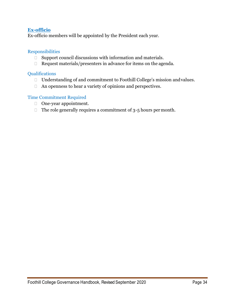# **Ex-officio**

Ex-officio members will be appointed by the President each year.

#### Responsibilities

- $\Box$  Support council discussions with information and materials.
- $\Box$  Request materials/presenters in advance for items on the agenda.

# Qualifications

- □ Understanding of and commitment to Foothill College's mission and values.
- An openness to hear a variety of opinions and perspectives.

- □ One-year appointment.
- $\Box$  The role generally requires a commitment of 3-5 hours per month.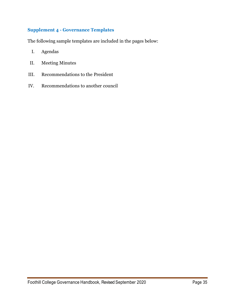# **Supplement 4 - Governance Templates**

The following sample templates are included in the pages below:

- I. Agendas
- II. Meeting Minutes
- III. Recommendations to the President
- IV. Recommendations to another council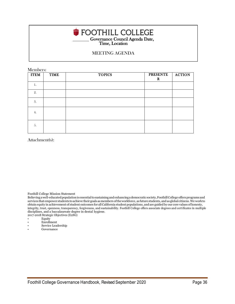# Governance Council Agenda Date, Time, Location

#### MEETING AGENDA

Members:

| <b>ITEM</b> | <b>TIME</b> | <b>TOPICS</b> | <b>PRESENTE</b><br>$\mathbf R$ | <b>ACTION</b> |
|-------------|-------------|---------------|--------------------------------|---------------|
| 1.          |             |               |                                |               |
| 2.          |             |               |                                |               |
| 3.          |             |               |                                |               |
| 4.          |             |               |                                |               |
| 5.          |             |               |                                |               |

Attachment(s):

Foothill College Mission Statement

Believingawell-educatedpopulationis essentialtosustainingandenhancingademocratic society,FoothillCollege offersprograms and services that empower students toachieve theirgoals asmembers oftheworkforce, as future students, and as global citizens.We workto obtain equity in achievement of student outcomes for allCalifornia student populations, and are guided by our core values ofhonesty, integrity, trust, openness, transparency, forgiveness, and sustainability. Foothill College offers associate degrees and certificates in multiple disciplines, and a baccalaureate degree in dental hygiene.

2017-2018 Strategic Objectives (E2SG)

- Equity
- Enrollment
- Service Leadership
- Governance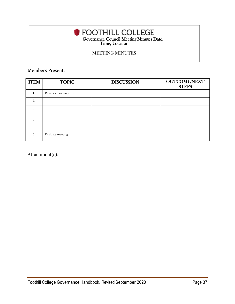# **COVET COUNCILE MEET ALSO EXAMPLE COUNCIL** Meeting Minutes Date, Time, Location

# MEETING MINUTES

Members Present:

| <b>ITEM</b> | <b>TOPIC</b>        | <b>DISCUSSION</b> | <b>OUTCOME/NEXT</b><br><b>STEPS</b> |
|-------------|---------------------|-------------------|-------------------------------------|
| 1.          | Review charge/norms |                   |                                     |
| 2.          |                     |                   |                                     |
| 3.          |                     |                   |                                     |
| 4.          |                     |                   |                                     |
| 5.          | Evaluate meeting    |                   |                                     |

Attachment(s):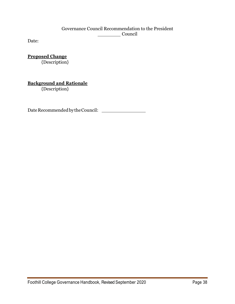# Governance Council Recommendation to the President Council

Date:

**Proposed Change** {Description}

**Background and Rationale**

{Description}

DateRecommendedbytheCouncil: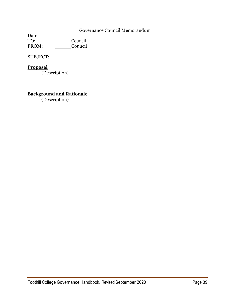# Governance Council Memorandum

Date:<br>TO: Council FROM: Council

SUBJECT:

# **Proposal**

{Description}

# **Background and Rationale**

{Description}